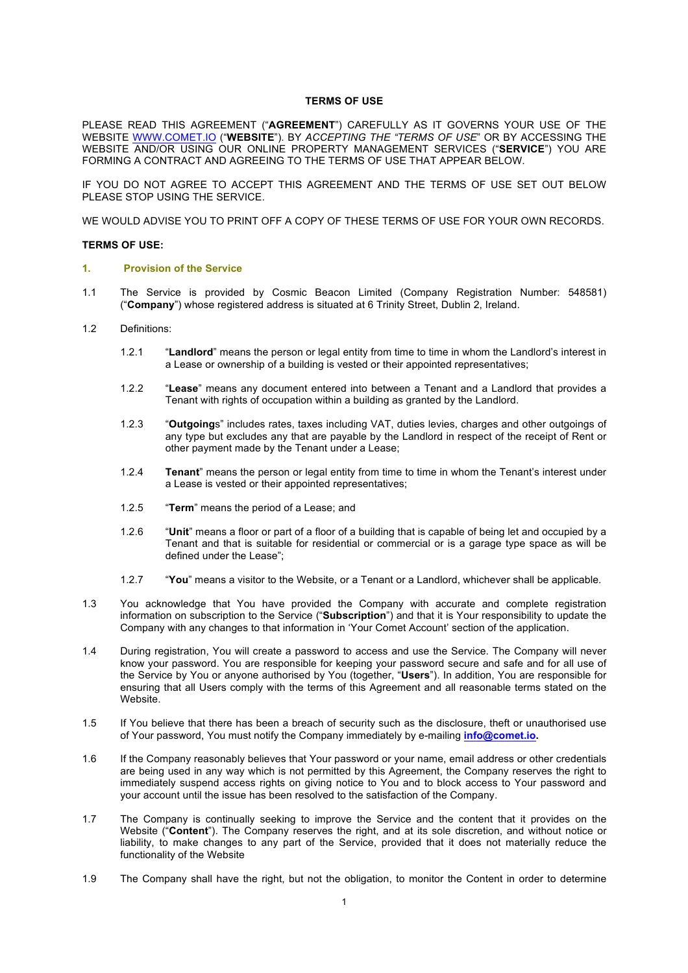## **TERMS OF USE**

PLEASE READ THIS AGREEMENT ("**AGREEMENT**") CAREFULLY AS IT GOVERNS YOUR USE OF THE WEBSITE WWW.COMET.IO ("**WEBSITE**"). BY *ACCEPTING THE "TERMS OF USE*" OR BY ACCESSING THE WEBSITE AND/OR USING OUR ONLINE PROPERTY MANAGEMENT SERVICES ("**SERVICE**") YOU ARE FORMING A CONTRACT AND AGREEING TO THE TERMS OF USE THAT APPEAR BELOW.

IF YOU DO NOT AGREE TO ACCEPT THIS AGREEMENT AND THE TERMS OF USE SET OUT BELOW PLEASE STOP USING THE SERVICE.

WE WOULD ADVISE YOU TO PRINT OFF A COPY OF THESE TERMS OF USE FOR YOUR OWN RECORDS.

#### **TERMS OF USE:**

### **1. Provision of the Service**

- 1.1 The Service is provided by Cosmic Beacon Limited (Company Registration Number: 548581) ("**Company**") whose registered address is situated at 6 Trinity Street, Dublin 2, Ireland.
- 1.2 Definitions:
	- 1.2.1 "**Landlord**" means the person or legal entity from time to time in whom the Landlord's interest in a Lease or ownership of a building is vested or their appointed representatives;
	- 1.2.2 "**Lease**" means any document entered into between a Tenant and a Landlord that provides a Tenant with rights of occupation within a building as granted by the Landlord.
	- 1.2.3 "**Outgoing**s" includes rates, taxes including VAT, duties levies, charges and other outgoings of any type but excludes any that are payable by the Landlord in respect of the receipt of Rent or other payment made by the Tenant under a Lease;
	- 1.2.4 **Tenant**" means the person or legal entity from time to time in whom the Tenant's interest under a Lease is vested or their appointed representatives;
	- 1.2.5 "**Term**" means the period of a Lease; and
	- 1.2.6 "**Unit**" means a floor or part of a floor of a building that is capable of being let and occupied by a Tenant and that is suitable for residential or commercial or is a garage type space as will be defined under the Lease";
	- 1.2.7 "**You**" means a visitor to the Website, or a Tenant or a Landlord, whichever shall be applicable.
- 1.3 You acknowledge that You have provided the Company with accurate and complete registration information on subscription to the Service ("**Subscription**") and that it is Your responsibility to update the Company with any changes to that information in 'Your Comet Account' section of the application.
- 1.4 During registration, You will create a password to access and use the Service. The Company will never know your password. You are responsible for keeping your password secure and safe and for all use of the Service by You or anyone authorised by You (together, "**Users**"). In addition, You are responsible for ensuring that all Users comply with the terms of this Agreement and all reasonable terms stated on the Website.
- 1.5 If You believe that there has been a breach of security such as the disclosure, theft or unauthorised use of Your password, You must notify the Company immediately by e-mailing **info@comet.io.**
- 1.6 If the Company reasonably believes that Your password or your name, email address or other credentials are being used in any way which is not permitted by this Agreement, the Company reserves the right to immediately suspend access rights on giving notice to You and to block access to Your password and your account until the issue has been resolved to the satisfaction of the Company.
- 1.7 The Company is continually seeking to improve the Service and the content that it provides on the Website ("**Content**"). The Company reserves the right, and at its sole discretion, and without notice or liability, to make changes to any part of the Service, provided that it does not materially reduce the functionality of the Website
- 1.9 The Company shall have the right, but not the obligation, to monitor the Content in order to determine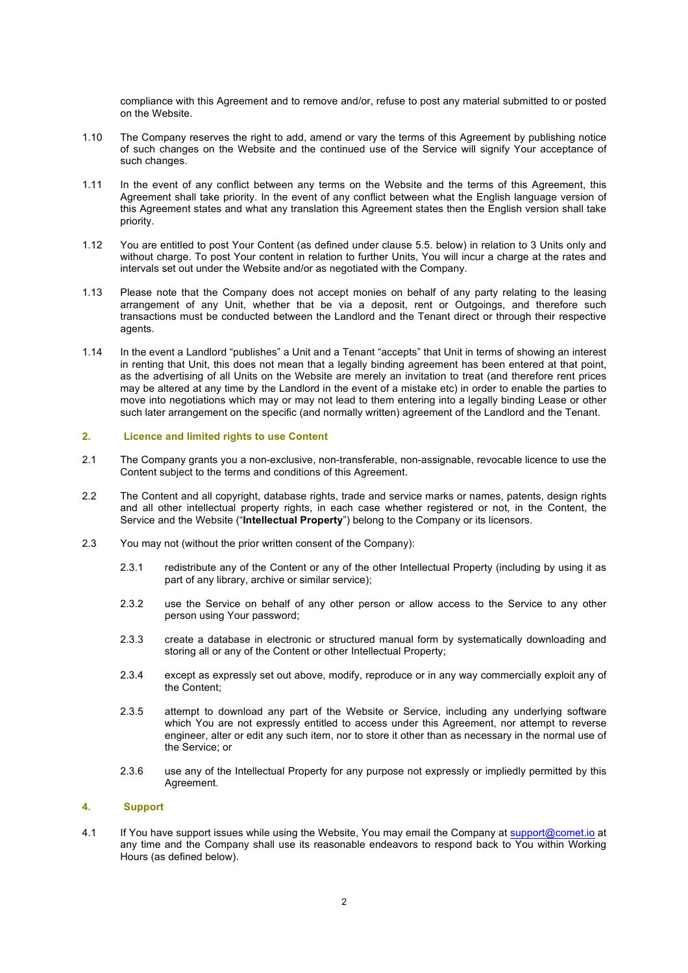compliance with this Agreement and to remove and/or, refuse to post any material submitted to or posted on the Website.

- 1.10 The Company reserves the right to add, amend or vary the terms of this Agreement by publishing notice of such changes on the Website and the continued use of the Service will signify Your acceptance of such changes.
- 1.11 In the event of any conflict between any terms on the Website and the terms of this Agreement, this Agreement shall take priority. In the event of any conflict between what the English language version of this Agreement states and what any translation this Agreement states then the English version shall take priority.
- 1.12 You are entitled to post Your Content (as defined under clause 5.5. below) in relation to 3 Units only and without charge. To post Your content in relation to further Units, You will incur a charge at the rates and intervals set out under the Website and/or as negotiated with the Company.
- 1.13 Please note that the Company does not accept monies on behalf of any party relating to the leasing arrangement of any Unit, whether that be via a deposit, rent or Outgoings, and therefore such transactions must be conducted between the Landlord and the Tenant direct or through their respective agents.
- 1.14 In the event a Landlord "publishes" a Unit and a Tenant "accepts" that Unit in terms of showing an interest in renting that Unit, this does not mean that a legally binding agreement has been entered at that point, as the advertising of all Units on the Website are merely an invitation to treat (and therefore rent prices may be altered at any time by the Landlord in the event of a mistake etc) in order to enable the parties to move into negotiations which may or may not lead to them entering into a legally binding Lease or other such later arrangement on the specific (and normally written) agreement of the Landlord and the Tenant.

# **2. Licence and limited rights to use Content**

- 2.1 The Company grants you a non-exclusive, non-transferable, non-assignable, revocable licence to use the Content subject to the terms and conditions of this Agreement.
- 2.2 The Content and all copyright, database rights, trade and service marks or names, patents, design rights and all other intellectual property rights, in each case whether registered or not, in the Content, the Service and the Website ("**Intellectual Property**") belong to the Company or its licensors.
- 2.3 You may not (without the prior written consent of the Company):
	- 2.3.1 redistribute any of the Content or any of the other Intellectual Property (including by using it as part of any library, archive or similar service);
	- 2.3.2 use the Service on behalf of any other person or allow access to the Service to any other person using Your password;
	- 2.3.3 create a database in electronic or structured manual form by systematically downloading and storing all or any of the Content or other Intellectual Property;
	- 2.3.4 except as expressly set out above, modify, reproduce or in any way commercially exploit any of the Content;
	- 2.3.5 attempt to download any part of the Website or Service, including any underlying software which You are not expressly entitled to access under this Agreement, nor attempt to reverse engineer, alter or edit any such item, nor to store it other than as necessary in the normal use of the Service; or
	- 2.3.6 use any of the Intellectual Property for any purpose not expressly or impliedly permitted by this Agreement.

#### **4. Support**

4.1 If You have support issues while using the Website, You may email the Company at support@comet.io at any time and the Company shall use its reasonable endeavors to respond back to You within Working Hours (as defined below).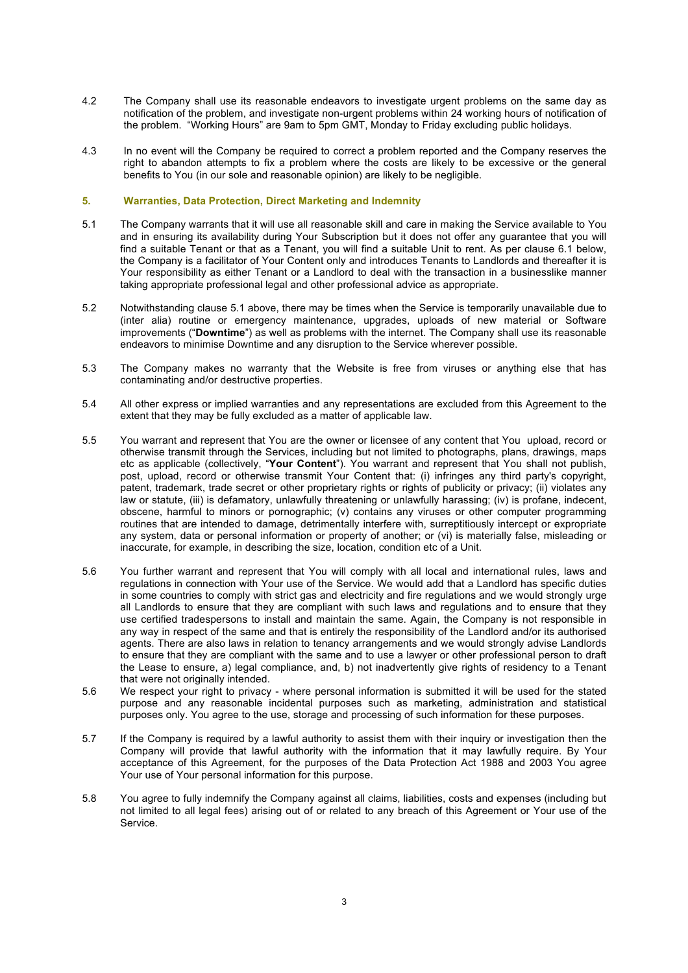- 4.2 The Company shall use its reasonable endeavors to investigate urgent problems on the same day as notification of the problem, and investigate non-urgent problems within 24 working hours of notification of the problem. "Working Hours" are 9am to 5pm GMT, Monday to Friday excluding public holidays.
- 4.3 In no event will the Company be required to correct a problem reported and the Company reserves the right to abandon attempts to fix a problem where the costs are likely to be excessive or the general benefits to You (in our sole and reasonable opinion) are likely to be negligible.

# **5. Warranties, Data Protection, Direct Marketing and Indemnity**

- 5.1 The Company warrants that it will use all reasonable skill and care in making the Service available to You and in ensuring its availability during Your Subscription but it does not offer any guarantee that you will find a suitable Tenant or that as a Tenant, you will find a suitable Unit to rent. As per clause 6.1 below, the Company is a facilitator of Your Content only and introduces Tenants to Landlords and thereafter it is Your responsibility as either Tenant or a Landlord to deal with the transaction in a businesslike manner taking appropriate professional legal and other professional advice as appropriate.
- 5.2 Notwithstanding clause 5.1 above, there may be times when the Service is temporarily unavailable due to (inter alia) routine or emergency maintenance, upgrades, uploads of new material or Software improvements ("**Downtime**") as well as problems with the internet. The Company shall use its reasonable endeavors to minimise Downtime and any disruption to the Service wherever possible.
- 5.3 The Company makes no warranty that the Website is free from viruses or anything else that has contaminating and/or destructive properties.
- 5.4 All other express or implied warranties and any representations are excluded from this Agreement to the extent that they may be fully excluded as a matter of applicable law.
- 5.5 You warrant and represent that You are the owner or licensee of any content that You upload, record or otherwise transmit through the Services, including but not limited to photographs, plans, drawings, maps etc as applicable (collectively, "**Your Content**"). You warrant and represent that You shall not publish, post, upload, record or otherwise transmit Your Content that: (i) infringes any third party's copyright, patent, trademark, trade secret or other proprietary rights or rights of publicity or privacy; (ii) violates any law or statute, (iii) is defamatory, unlawfully threatening or unlawfully harassing; (iv) is profane, indecent, obscene, harmful to minors or pornographic; (v) contains any viruses or other computer programming routines that are intended to damage, detrimentally interfere with, surreptitiously intercept or expropriate any system, data or personal information or property of another; or (vi) is materially false, misleading or inaccurate, for example, in describing the size, location, condition etc of a Unit.
- 5.6 You further warrant and represent that You will comply with all local and international rules, laws and regulations in connection with Your use of the Service. We would add that a Landlord has specific duties in some countries to comply with strict gas and electricity and fire regulations and we would strongly urge all Landlords to ensure that they are compliant with such laws and regulations and to ensure that they use certified tradespersons to install and maintain the same. Again, the Company is not responsible in any way in respect of the same and that is entirely the responsibility of the Landlord and/or its authorised agents. There are also laws in relation to tenancy arrangements and we would strongly advise Landlords to ensure that they are compliant with the same and to use a lawyer or other professional person to draft the Lease to ensure, a) legal compliance, and, b) not inadvertently give rights of residency to a Tenant that were not originally intended.
- 5.6 We respect your right to privacy where personal information is submitted it will be used for the stated purpose and any reasonable incidental purposes such as marketing, administration and statistical purposes only. You agree to the use, storage and processing of such information for these purposes.
- 5.7 If the Company is required by a lawful authority to assist them with their inquiry or investigation then the Company will provide that lawful authority with the information that it may lawfully require. By Your acceptance of this Agreement, for the purposes of the Data Protection Act 1988 and 2003 You agree Your use of Your personal information for this purpose.
- 5.8 You agree to fully indemnify the Company against all claims, liabilities, costs and expenses (including but not limited to all legal fees) arising out of or related to any breach of this Agreement or Your use of the Service.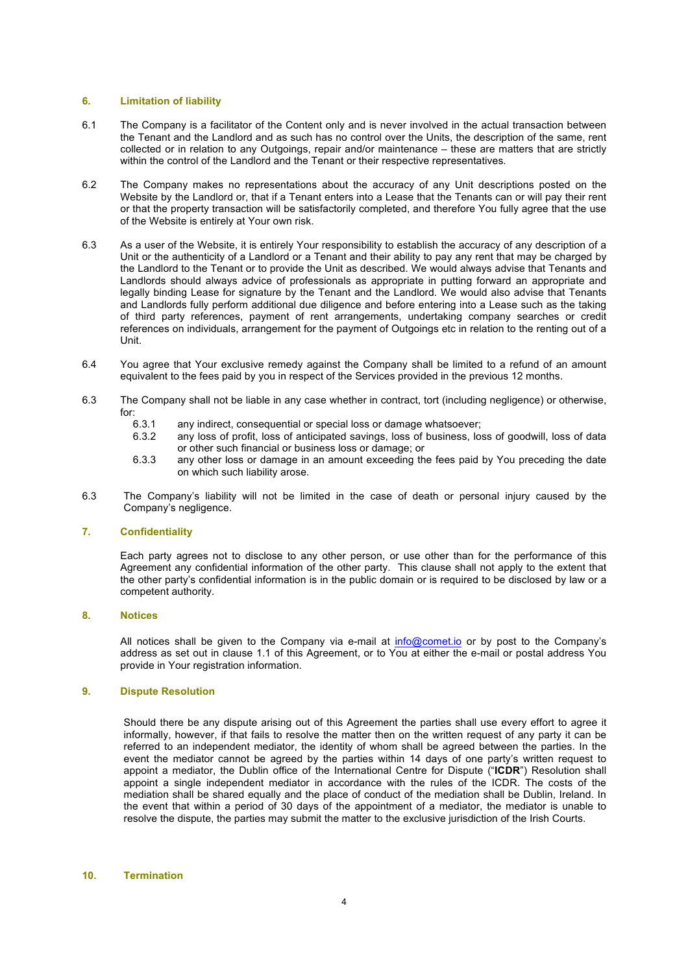## **6. Limitation of liability**

- 6.1 The Company is a facilitator of the Content only and is never involved in the actual transaction between the Tenant and the Landlord and as such has no control over the Units, the description of the same, rent collected or in relation to any Outgoings, repair and/or maintenance – these are matters that are strictly within the control of the Landlord and the Tenant or their respective representatives.
- 6.2 The Company makes no representations about the accuracy of any Unit descriptions posted on the Website by the Landlord or, that if a Tenant enters into a Lease that the Tenants can or will pay their rent or that the property transaction will be satisfactorily completed, and therefore You fully agree that the use of the Website is entirely at Your own risk.
- 6.3 As a user of the Website, it is entirely Your responsibility to establish the accuracy of any description of a Unit or the authenticity of a Landlord or a Tenant and their ability to pay any rent that may be charged by the Landlord to the Tenant or to provide the Unit as described. We would always advise that Tenants and Landlords should always advice of professionals as appropriate in putting forward an appropriate and legally binding Lease for signature by the Tenant and the Landlord. We would also advise that Tenants and Landlords fully perform additional due diligence and before entering into a Lease such as the taking of third party references, payment of rent arrangements, undertaking company searches or credit references on individuals, arrangement for the payment of Outgoings etc in relation to the renting out of a Unit.
- 6.4 You agree that Your exclusive remedy against the Company shall be limited to a refund of an amount equivalent to the fees paid by you in respect of the Services provided in the previous 12 months.
- 6.3 The Company shall not be liable in any case whether in contract, tort (including negligence) or otherwise, for:
	- 6.3.1 any indirect, consequential or special loss or damage whatsoever;<br>6.3.2 any loss of profit, loss of anticipated savings, loss of business, los
	- any loss of profit, loss of anticipated savings, loss of business, loss of goodwill, loss of data or other such financial or business loss or damage; or
	- 6.3.3 any other loss or damage in an amount exceeding the fees paid by You preceding the date on which such liability arose.
- 6.3 The Company's liability will not be limited in the case of death or personal injury caused by the Company's negligence.

## **7. Confidentiality**

Each party agrees not to disclose to any other person, or use other than for the performance of this Agreement any confidential information of the other party. This clause shall not apply to the extent that the other party's confidential information is in the public domain or is required to be disclosed by law or a competent authority.

#### **8. Notices**

All notices shall be given to the Company via e-mail at info@comet.io or by post to the Company's address as set out in clause 1.1 of this Agreement, or to You at either the e-mail or postal address You provide in Your registration information.

# **9. Dispute Resolution**

Should there be any dispute arising out of this Agreement the parties shall use every effort to agree it informally, however, if that fails to resolve the matter then on the written request of any party it can be referred to an independent mediator, the identity of whom shall be agreed between the parties. In the event the mediator cannot be agreed by the parties within 14 days of one party's written request to appoint a mediator, the Dublin office of the International Centre for Dispute ("**ICDR**") Resolution shall appoint a single independent mediator in accordance with the rules of the ICDR. The costs of the mediation shall be shared equally and the place of conduct of the mediation shall be Dublin, Ireland. In the event that within a period of 30 days of the appointment of a mediator, the mediator is unable to resolve the dispute, the parties may submit the matter to the exclusive jurisdiction of the Irish Courts.

#### **10. Termination**